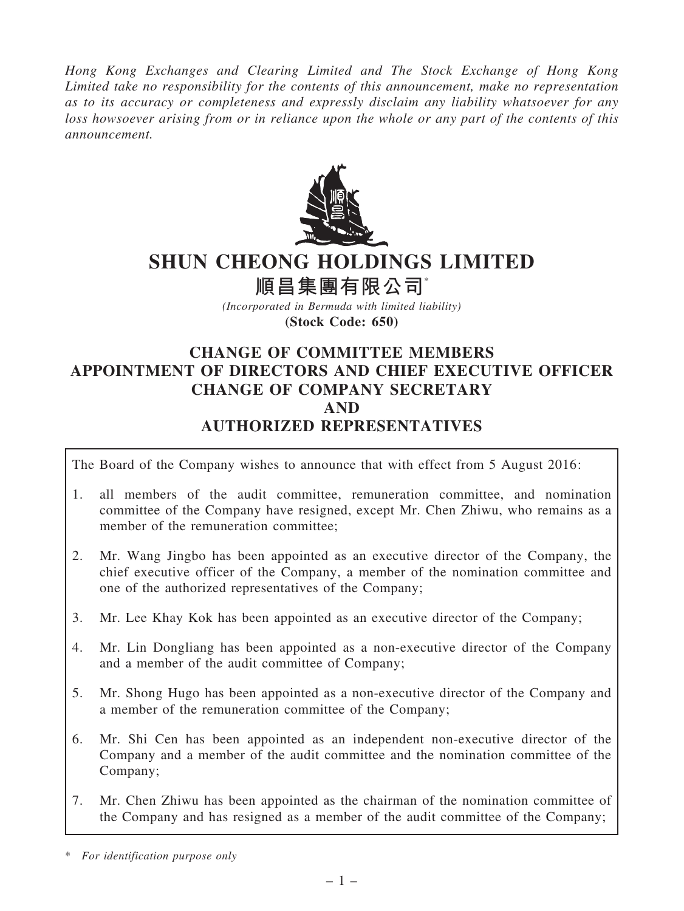Hong Kong Exchanges and Clearing Limited and The Stock Exchange of Hong Kong Limited take no responsibility for the contents of this announcement, make no representation as to its accuracy or completeness and expressly disclaim any liability whatsoever for any loss howsoever arising from or in reliance upon the whole or any part of the contents of this announcement.



# SHUN CHEONG HOLDINGS LIMITED

順昌集團有限公司

(Incorporated in Bermuda with limited liability) (Stock Code: 650)

# CHANGE OF COMMITTEE MEMBERS APPOINTMENT OF DIRECTORS AND CHIEF EXECUTIVE OFFICER CHANGE OF COMPANY SECRETARY AND AUTHORIZED REPRESENTATIVES

The Board of the Company wishes to announce that with effect from 5 August 2016:

- 1. all members of the audit committee, remuneration committee, and nomination committee of the Company have resigned, except Mr. Chen Zhiwu, who remains as a member of the remuneration committee;
- 2. Mr. Wang Jingbo has been appointed as an executive director of the Company, the chief executive officer of the Company, a member of the nomination committee and one of the authorized representatives of the Company;
- 3. Mr. Lee Khay Kok has been appointed as an executive director of the Company;
- 4. Mr. Lin Dongliang has been appointed as a non-executive director of the Company and a member of the audit committee of Company;
- 5. Mr. Shong Hugo has been appointed as a non-executive director of the Company and a member of the remuneration committee of the Company;
- 6. Mr. Shi Cen has been appointed as an independent non-executive director of the Company and a member of the audit committee and the nomination committee of the Company;
- 7. Mr. Chen Zhiwu has been appointed as the chairman of the nomination committee of the Company and has resigned as a member of the audit committee of the Company;

<sup>\*</sup> For identification purpose only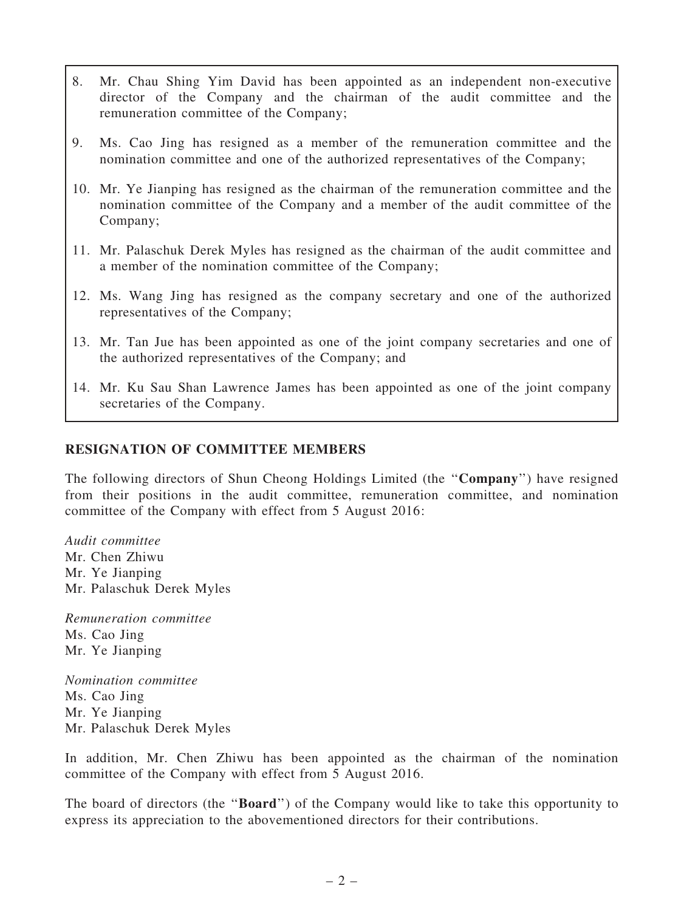- 8. Mr. Chau Shing Yim David has been appointed as an independent non-executive director of the Company and the chairman of the audit committee and the remuneration committee of the Company;
- 9. Ms. Cao Jing has resigned as a member of the remuneration committee and the nomination committee and one of the authorized representatives of the Company;
- 10. Mr. Ye Jianping has resigned as the chairman of the remuneration committee and the nomination committee of the Company and a member of the audit committee of the Company;
- 11. Mr. Palaschuk Derek Myles has resigned as the chairman of the audit committee and a member of the nomination committee of the Company;
- 12. Ms. Wang Jing has resigned as the company secretary and one of the authorized representatives of the Company;
- 13. Mr. Tan Jue has been appointed as one of the joint company secretaries and one of the authorized representatives of the Company; and
- 14. Mr. Ku Sau Shan Lawrence James has been appointed as one of the joint company secretaries of the Company.

### RESIGNATION OF COMMITTEE MEMBERS

The following directors of Shun Cheong Holdings Limited (the ''Company'') have resigned from their positions in the audit committee, remuneration committee, and nomination committee of the Company with effect from 5 August 2016:

Audit committee Mr. Chen Zhiwu Mr. Ye Jianping Mr. Palaschuk Derek Myles

Remuneration committee Ms. Cao Jing Mr. Ye Jianping

Nomination committee Ms. Cao Jing Mr. Ye Jianping Mr. Palaschuk Derek Myles

In addition, Mr. Chen Zhiwu has been appointed as the chairman of the nomination committee of the Company with effect from 5 August 2016.

The board of directors (the "**Board**") of the Company would like to take this opportunity to express its appreciation to the abovementioned directors for their contributions.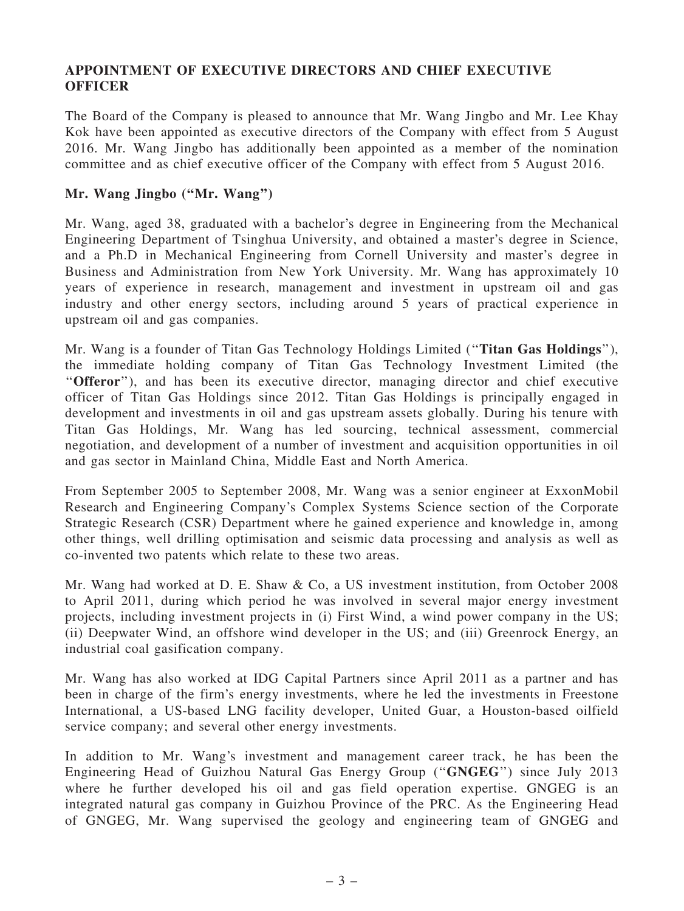## APPOINTMENT OF EXECUTIVE DIRECTORS AND CHIEF EXECUTIVE **OFFICER**

The Board of the Company is pleased to announce that Mr. Wang Jingbo and Mr. Lee Khay Kok have been appointed as executive directors of the Company with effect from 5 August 2016. Mr. Wang Jingbo has additionally been appointed as a member of the nomination committee and as chief executive officer of the Company with effect from 5 August 2016.

#### Mr. Wang Jingbo ("Mr. Wang")

Mr. Wang, aged 38, graduated with a bachelor's degree in Engineering from the Mechanical Engineering Department of Tsinghua University, and obtained a master's degree in Science, and a Ph.D in Mechanical Engineering from Cornell University and master's degree in Business and Administration from New York University. Mr. Wang has approximately 10 years of experience in research, management and investment in upstream oil and gas industry and other energy sectors, including around 5 years of practical experience in upstream oil and gas companies.

Mr. Wang is a founder of Titan Gas Technology Holdings Limited (''Titan Gas Holdings''), the immediate holding company of Titan Gas Technology Investment Limited (the "Offeror"), and has been its executive director, managing director and chief executive officer of Titan Gas Holdings since 2012. Titan Gas Holdings is principally engaged in development and investments in oil and gas upstream assets globally. During his tenure with Titan Gas Holdings, Mr. Wang has led sourcing, technical assessment, commercial negotiation, and development of a number of investment and acquisition opportunities in oil and gas sector in Mainland China, Middle East and North America.

From September 2005 to September 2008, Mr. Wang was a senior engineer at ExxonMobil Research and Engineering Company's Complex Systems Science section of the Corporate Strategic Research (CSR) Department where he gained experience and knowledge in, among other things, well drilling optimisation and seismic data processing and analysis as well as co-invented two patents which relate to these two areas.

Mr. Wang had worked at D. E. Shaw & Co, a US investment institution, from October 2008 to April 2011, during which period he was involved in several major energy investment projects, including investment projects in (i) First Wind, a wind power company in the US; (ii) Deepwater Wind, an offshore wind developer in the US; and (iii) Greenrock Energy, an industrial coal gasification company.

Mr. Wang has also worked at IDG Capital Partners since April 2011 as a partner and has been in charge of the firm's energy investments, where he led the investments in Freestone International, a US-based LNG facility developer, United Guar, a Houston-based oilfield service company; and several other energy investments.

In addition to Mr. Wang's investment and management career track, he has been the Engineering Head of Guizhou Natural Gas Energy Group (''GNGEG'') since July 2013 where he further developed his oil and gas field operation expertise. GNGEG is an integrated natural gas company in Guizhou Province of the PRC. As the Engineering Head of GNGEG, Mr. Wang supervised the geology and engineering team of GNGEG and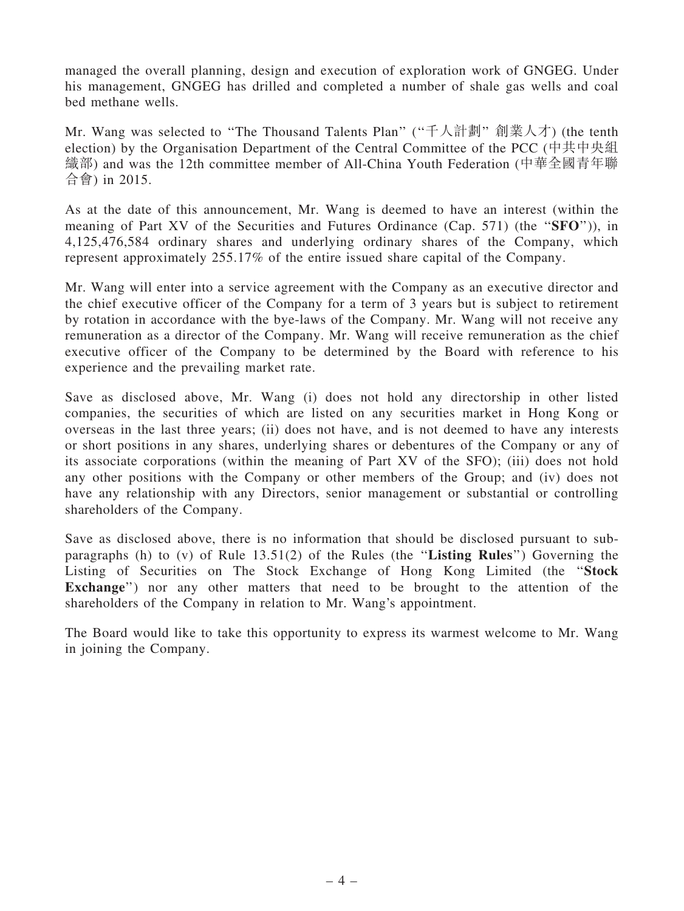managed the overall planning, design and execution of exploration work of GNGEG. Under his management, GNGEG has drilled and completed a number of shale gas wells and coal bed methane wells.

Mr. Wang was selected to "The Thousand Talents Plan" ("千人計劃" 創業人才) (the tenth election) by the Organisation Department of the Central Committee of the PCC (中共中央組 織部) and was the 12th committee member of All-China Youth Federation (中華全國青年聯 合會) in 2015.

As at the date of this announcement, Mr. Wang is deemed to have an interest (within the meaning of Part XV of the Securities and Futures Ordinance (Cap. 571) (the "SFO")), in 4,125,476,584 ordinary shares and underlying ordinary shares of the Company, which represent approximately 255.17% of the entire issued share capital of the Company.

Mr. Wang will enter into a service agreement with the Company as an executive director and the chief executive officer of the Company for a term of 3 years but is subject to retirement by rotation in accordance with the bye-laws of the Company. Mr. Wang will not receive any remuneration as a director of the Company. Mr. Wang will receive remuneration as the chief executive officer of the Company to be determined by the Board with reference to his experience and the prevailing market rate.

Save as disclosed above, Mr. Wang (i) does not hold any directorship in other listed companies, the securities of which are listed on any securities market in Hong Kong or overseas in the last three years; (ii) does not have, and is not deemed to have any interests or short positions in any shares, underlying shares or debentures of the Company or any of its associate corporations (within the meaning of Part XV of the SFO); (iii) does not hold any other positions with the Company or other members of the Group; and (iv) does not have any relationship with any Directors, senior management or substantial or controlling shareholders of the Company.

Save as disclosed above, there is no information that should be disclosed pursuant to subparagraphs (h) to (v) of Rule 13.51(2) of the Rules (the ''Listing Rules'') Governing the Listing of Securities on The Stock Exchange of Hong Kong Limited (the ''Stock Exchange") nor any other matters that need to be brought to the attention of the shareholders of the Company in relation to Mr. Wang's appointment.

The Board would like to take this opportunity to express its warmest welcome to Mr. Wang in joining the Company.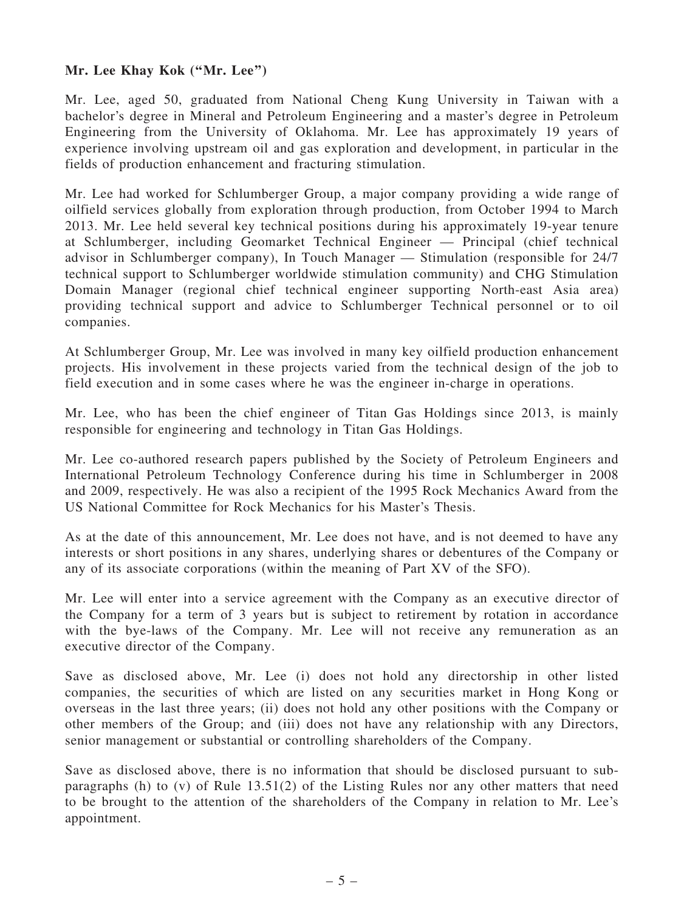# Mr. Lee Khay Kok ("Mr. Lee")

Mr. Lee, aged 50, graduated from National Cheng Kung University in Taiwan with a bachelor's degree in Mineral and Petroleum Engineering and a master's degree in Petroleum Engineering from the University of Oklahoma. Mr. Lee has approximately 19 years of experience involving upstream oil and gas exploration and development, in particular in the fields of production enhancement and fracturing stimulation.

Mr. Lee had worked for Schlumberger Group, a major company providing a wide range of oilfield services globally from exploration through production, from October 1994 to March 2013. Mr. Lee held several key technical positions during his approximately 19-year tenure at Schlumberger, including Geomarket Technical Engineer — Principal (chief technical advisor in Schlumberger company), In Touch Manager — Stimulation (responsible for 24/7 technical support to Schlumberger worldwide stimulation community) and CHG Stimulation Domain Manager (regional chief technical engineer supporting North-east Asia area) providing technical support and advice to Schlumberger Technical personnel or to oil companies.

At Schlumberger Group, Mr. Lee was involved in many key oilfield production enhancement projects. His involvement in these projects varied from the technical design of the job to field execution and in some cases where he was the engineer in-charge in operations.

Mr. Lee, who has been the chief engineer of Titan Gas Holdings since 2013, is mainly responsible for engineering and technology in Titan Gas Holdings.

Mr. Lee co-authored research papers published by the Society of Petroleum Engineers and International Petroleum Technology Conference during his time in Schlumberger in 2008 and 2009, respectively. He was also a recipient of the 1995 Rock Mechanics Award from the US National Committee for Rock Mechanics for his Master's Thesis.

As at the date of this announcement, Mr. Lee does not have, and is not deemed to have any interests or short positions in any shares, underlying shares or debentures of the Company or any of its associate corporations (within the meaning of Part XV of the SFO).

Mr. Lee will enter into a service agreement with the Company as an executive director of the Company for a term of 3 years but is subject to retirement by rotation in accordance with the bye-laws of the Company. Mr. Lee will not receive any remuneration as an executive director of the Company.

Save as disclosed above, Mr. Lee (i) does not hold any directorship in other listed companies, the securities of which are listed on any securities market in Hong Kong or overseas in the last three years; (ii) does not hold any other positions with the Company or other members of the Group; and (iii) does not have any relationship with any Directors, senior management or substantial or controlling shareholders of the Company.

Save as disclosed above, there is no information that should be disclosed pursuant to subparagraphs (h) to (v) of Rule 13.51(2) of the Listing Rules nor any other matters that need to be brought to the attention of the shareholders of the Company in relation to Mr. Lee's appointment.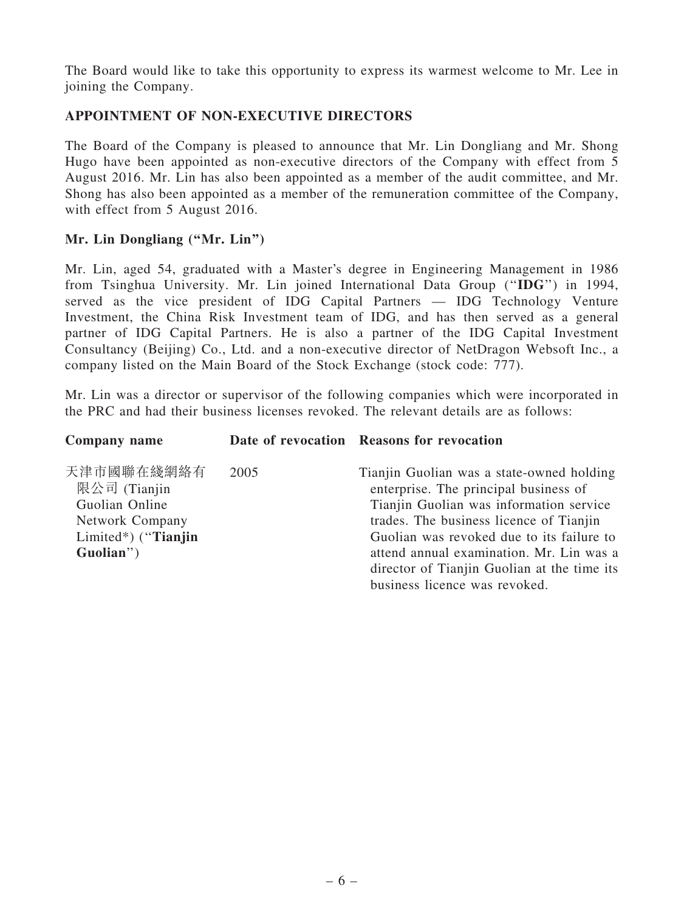The Board would like to take this opportunity to express its warmest welcome to Mr. Lee in joining the Company.

# APPOINTMENT OF NON-EXECUTIVE DIRECTORS

The Board of the Company is pleased to announce that Mr. Lin Dongliang and Mr. Shong Hugo have been appointed as non-executive directors of the Company with effect from 5 August 2016. Mr. Lin has also been appointed as a member of the audit committee, and Mr. Shong has also been appointed as a member of the remuneration committee of the Company, with effect from 5 August 2016.

# Mr. Lin Dongliang ("Mr. Lin")

Mr. Lin, aged 54, graduated with a Master's degree in Engineering Management in 1986 from Tsinghua University. Mr. Lin joined International Data Group (''IDG'') in 1994, served as the vice president of IDG Capital Partners — IDG Technology Venture Investment, the China Risk Investment team of IDG, and has then served as a general partner of IDG Capital Partners. He is also a partner of the IDG Capital Investment Consultancy (Beijing) Co., Ltd. and a non-executive director of NetDragon Websoft Inc., a company listed on the Main Board of the Stock Exchange (stock code: 777).

Mr. Lin was a director or supervisor of the following companies which were incorporated in the PRC and had their business licenses revoked. The relevant details are as follows:

| Company name                                                                                        |      | Date of revocation Reasons for revocation                                                                                                                                                                                                                                                                        |
|-----------------------------------------------------------------------------------------------------|------|------------------------------------------------------------------------------------------------------------------------------------------------------------------------------------------------------------------------------------------------------------------------------------------------------------------|
| 天津市國聯在綫網絡有<br>限公司 (Tianjin<br>Guolian Online<br>Network Company<br>Limited*) ("Tianjin<br>Guolian") | 2005 | Tianjin Guolian was a state-owned holding<br>enterprise. The principal business of<br>Tianjin Guolian was information service<br>trades. The business licence of Tianjin<br>Guolian was revoked due to its failure to<br>attend annual examination. Mr. Lin was a<br>director of Tianjin Guolian at the time its |
|                                                                                                     |      | business licence was revoked.                                                                                                                                                                                                                                                                                    |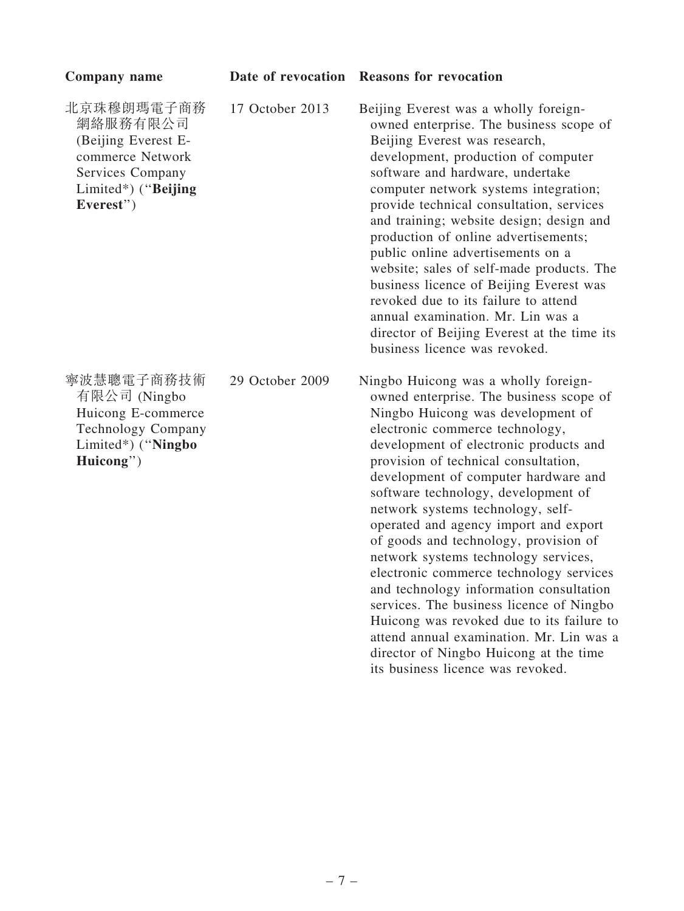| Company name                                                                                                              |                 | Date of revocation Reasons for revocation                                                                                                                                                                                                                                                                                                                                                                                                                                                                                                                                                                                                                                                                                                                    |
|---------------------------------------------------------------------------------------------------------------------------|-----------------|--------------------------------------------------------------------------------------------------------------------------------------------------------------------------------------------------------------------------------------------------------------------------------------------------------------------------------------------------------------------------------------------------------------------------------------------------------------------------------------------------------------------------------------------------------------------------------------------------------------------------------------------------------------------------------------------------------------------------------------------------------------|
| 北京珠穆朗瑪電子商務<br>網絡服務有限公司<br>(Beijing Everest E-<br>commerce Network<br>Services Company<br>Limited*) ("Beijing<br>Everest") | 17 October 2013 | Beijing Everest was a wholly foreign-<br>owned enterprise. The business scope of<br>Beijing Everest was research,<br>development, production of computer<br>software and hardware, undertake<br>computer network systems integration;<br>provide technical consultation, services<br>and training; website design; design and<br>production of online advertisements;<br>public online advertisements on a<br>website; sales of self-made products. The<br>business licence of Beijing Everest was<br>revoked due to its failure to attend<br>annual examination. Mr. Lin was a<br>director of Beijing Everest at the time its<br>business licence was revoked.                                                                                              |
| 寧波慧聰電子商務技術<br>有限公司 (Ningbo<br>Huicong E-commerce<br><b>Technology Company</b><br>Limited*) ("Ningbo<br>Huicong")          | 29 October 2009 | Ningbo Huicong was a wholly foreign-<br>owned enterprise. The business scope of<br>Ningbo Huicong was development of<br>electronic commerce technology,<br>development of electronic products and<br>provision of technical consultation,<br>development of computer hardware and<br>software technology, development of<br>network systems technology, self-<br>operated and agency import and export<br>of goods and technology, provision of<br>network systems technology services,<br>electronic commerce technology services<br>and technology information consultation<br>services. The business licence of Ningbo<br>Huicong was revoked due to its failure to<br>attend annual examination. Mr. Lin was a<br>director of Ningbo Huicong at the time |

its business licence was revoked.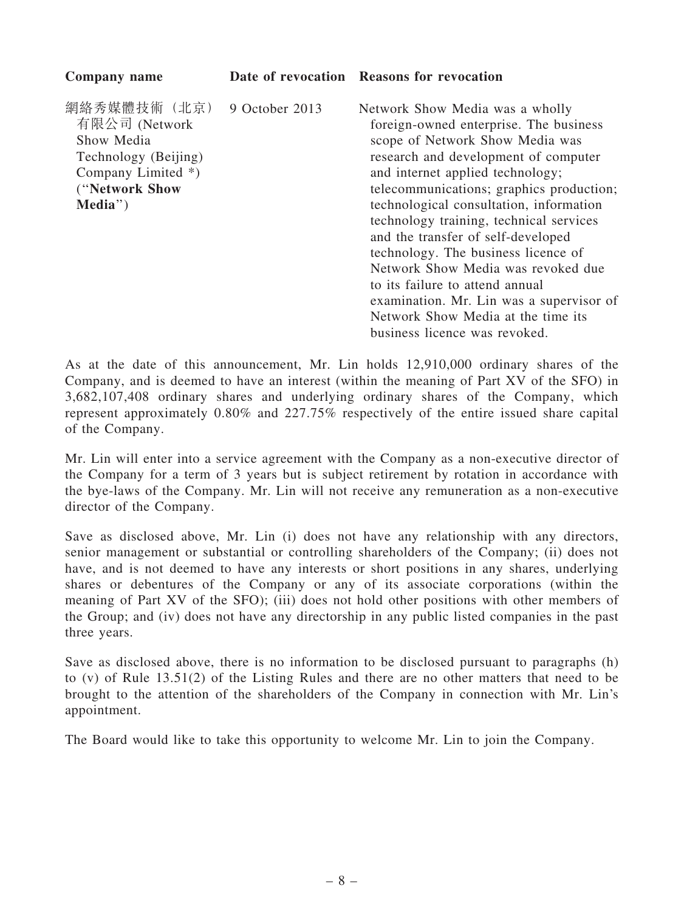| Company name                                                                                                           |                | Date of revocation Reasons for revocation                                                                                                                                                                                                                                                                                                                                                                                                                                                                                                                                                           |
|------------------------------------------------------------------------------------------------------------------------|----------------|-----------------------------------------------------------------------------------------------------------------------------------------------------------------------------------------------------------------------------------------------------------------------------------------------------------------------------------------------------------------------------------------------------------------------------------------------------------------------------------------------------------------------------------------------------------------------------------------------------|
| 網絡秀媒體技術 (北京)<br>有限公司 (Network<br>Show Media<br>Technology (Beijing)<br>Company Limited *)<br>("Network Show<br>Media") | 9 October 2013 | Network Show Media was a wholly<br>foreign-owned enterprise. The business<br>scope of Network Show Media was<br>research and development of computer<br>and internet applied technology;<br>telecommunications; graphics production;<br>technological consultation, information<br>technology training, technical services<br>and the transfer of self-developed<br>technology. The business licence of<br>Network Show Media was revoked due<br>to its failure to attend annual<br>examination. Mr. Lin was a supervisor of<br>Network Show Media at the time its<br>business licence was revoked. |
|                                                                                                                        |                |                                                                                                                                                                                                                                                                                                                                                                                                                                                                                                                                                                                                     |

As at the date of this announcement, Mr. Lin holds 12,910,000 ordinary shares of the Company, and is deemed to have an interest (within the meaning of Part XV of the SFO) in 3,682,107,408 ordinary shares and underlying ordinary shares of the Company, which represent approximately 0.80% and 227.75% respectively of the entire issued share capital of the Company.

Mr. Lin will enter into a service agreement with the Company as a non-executive director of the Company for a term of 3 years but is subject retirement by rotation in accordance with the bye-laws of the Company. Mr. Lin will not receive any remuneration as a non-executive director of the Company.

Save as disclosed above, Mr. Lin (i) does not have any relationship with any directors, senior management or substantial or controlling shareholders of the Company; (ii) does not have, and is not deemed to have any interests or short positions in any shares, underlying shares or debentures of the Company or any of its associate corporations (within the meaning of Part XV of the SFO); (iii) does not hold other positions with other members of the Group; and (iv) does not have any directorship in any public listed companies in the past three years.

Save as disclosed above, there is no information to be disclosed pursuant to paragraphs (h) to (v) of Rule 13.51(2) of the Listing Rules and there are no other matters that need to be brought to the attention of the shareholders of the Company in connection with Mr. Lin's appointment.

The Board would like to take this opportunity to welcome Mr. Lin to join the Company.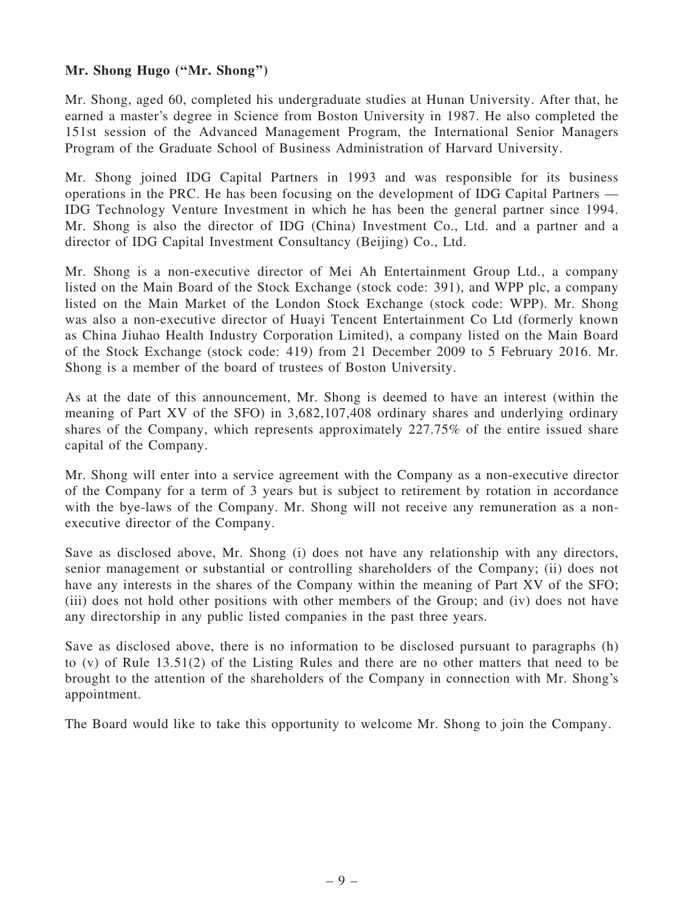# Mr. Shong Hugo (''Mr. Shong'')

Mr. Shong, aged 60, completed his undergraduate studies at Hunan University. After that, he earned a master's degree in Science from Boston University in 1987. He also completed the 151st session of the Advanced Management Program, the International Senior Managers Program of the Graduate School of Business Administration of Harvard University.

Mr. Shong joined IDG Capital Partners in 1993 and was responsible for its business operations in the PRC. He has been focusing on the development of IDG Capital Partners — IDG Technology Venture Investment in which he has been the general partner since 1994. Mr. Shong is also the director of IDG (China) Investment Co., Ltd. and a partner and a director of IDG Capital Investment Consultancy (Beijing) Co., Ltd.

Mr. Shong is a non-executive director of Mei Ah Entertainment Group Ltd., a company listed on the Main Board of the Stock Exchange (stock code: 391), and WPP plc, a company listed on the Main Market of the London Stock Exchange (stock code: WPP). Mr. Shong was also a non-executive director of Huayi Tencent Entertainment Co Ltd (formerly known as China Jiuhao Health Industry Corporation Limited), a company listed on the Main Board of the Stock Exchange (stock code: 419) from 21 December 2009 to 5 February 2016. Mr. Shong is a member of the board of trustees of Boston University.

As at the date of this announcement, Mr. Shong is deemed to have an interest (within the meaning of Part XV of the SFO) in 3,682,107,408 ordinary shares and underlying ordinary shares of the Company, which represents approximately 227.75% of the entire issued share capital of the Company.

Mr. Shong will enter into a service agreement with the Company as a non-executive director of the Company for a term of 3 years but is subject to retirement by rotation in accordance with the bye-laws of the Company. Mr. Shong will not receive any remuneration as a nonexecutive director of the Company.

Save as disclosed above, Mr. Shong (i) does not have any relationship with any directors, senior management or substantial or controlling shareholders of the Company; (ii) does not have any interests in the shares of the Company within the meaning of Part XV of the SFO; (iii) does not hold other positions with other members of the Group; and (iv) does not have any directorship in any public listed companies in the past three years.

Save as disclosed above, there is no information to be disclosed pursuant to paragraphs (h) to (v) of Rule 13.51(2) of the Listing Rules and there are no other matters that need to be brought to the attention of the shareholders of the Company in connection with Mr. Shong's appointment.

The Board would like to take this opportunity to welcome Mr. Shong to join the Company.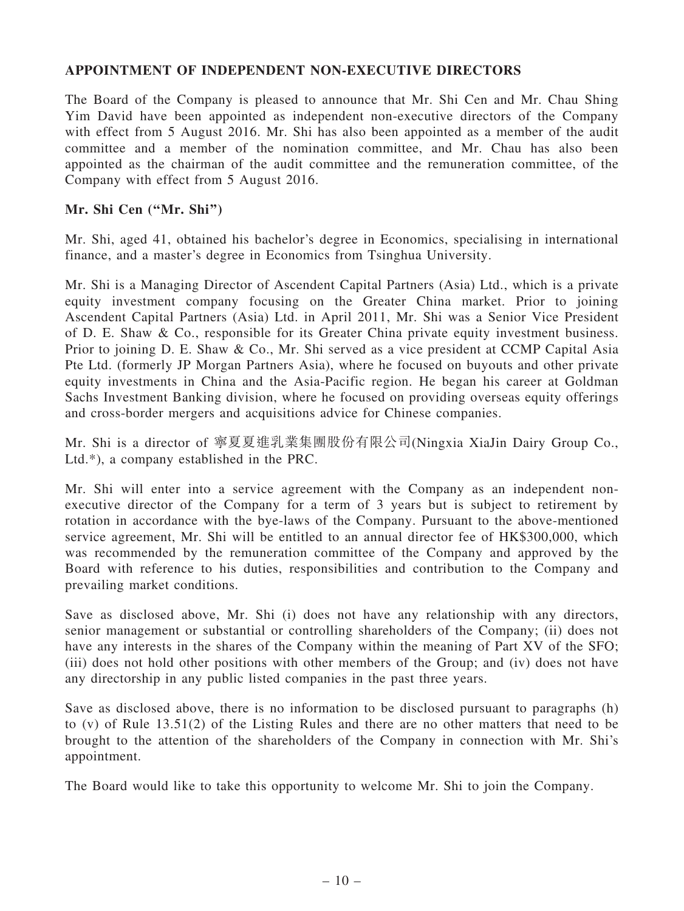### APPOINTMENT OF INDEPENDENT NON-EXECUTIVE DIRECTORS

The Board of the Company is pleased to announce that Mr. Shi Cen and Mr. Chau Shing Yim David have been appointed as independent non-executive directors of the Company with effect from 5 August 2016. Mr. Shi has also been appointed as a member of the audit committee and a member of the nomination committee, and Mr. Chau has also been appointed as the chairman of the audit committee and the remuneration committee, of the Company with effect from 5 August 2016.

#### Mr. Shi Cen (''Mr. Shi'')

Mr. Shi, aged 41, obtained his bachelor's degree in Economics, specialising in international finance, and a master's degree in Economics from Tsinghua University.

Mr. Shi is a Managing Director of Ascendent Capital Partners (Asia) Ltd., which is a private equity investment company focusing on the Greater China market. Prior to joining Ascendent Capital Partners (Asia) Ltd. in April 2011, Mr. Shi was a Senior Vice President of D. E. Shaw & Co., responsible for its Greater China private equity investment business. Prior to joining D. E. Shaw & Co., Mr. Shi served as a vice president at CCMP Capital Asia Pte Ltd. (formerly JP Morgan Partners Asia), where he focused on buyouts and other private equity investments in China and the Asia-Pacific region. He began his career at Goldman Sachs Investment Banking division, where he focused on providing overseas equity offerings and cross-border mergers and acquisitions advice for Chinese companies.

Mr. Shi is a director of 寧夏夏進乳業集團股份有限公司(Ningxia XiaJin Dairy Group Co., Ltd.\*), a company established in the PRC.

Mr. Shi will enter into a service agreement with the Company as an independent nonexecutive director of the Company for a term of 3 years but is subject to retirement by rotation in accordance with the bye-laws of the Company. Pursuant to the above-mentioned service agreement, Mr. Shi will be entitled to an annual director fee of HK\$300,000, which was recommended by the remuneration committee of the Company and approved by the Board with reference to his duties, responsibilities and contribution to the Company and prevailing market conditions.

Save as disclosed above, Mr. Shi (i) does not have any relationship with any directors, senior management or substantial or controlling shareholders of the Company; (ii) does not have any interests in the shares of the Company within the meaning of Part XV of the SFO; (iii) does not hold other positions with other members of the Group; and (iv) does not have any directorship in any public listed companies in the past three years.

Save as disclosed above, there is no information to be disclosed pursuant to paragraphs (h) to (v) of Rule 13.51(2) of the Listing Rules and there are no other matters that need to be brought to the attention of the shareholders of the Company in connection with Mr. Shi's appointment.

The Board would like to take this opportunity to welcome Mr. Shi to join the Company.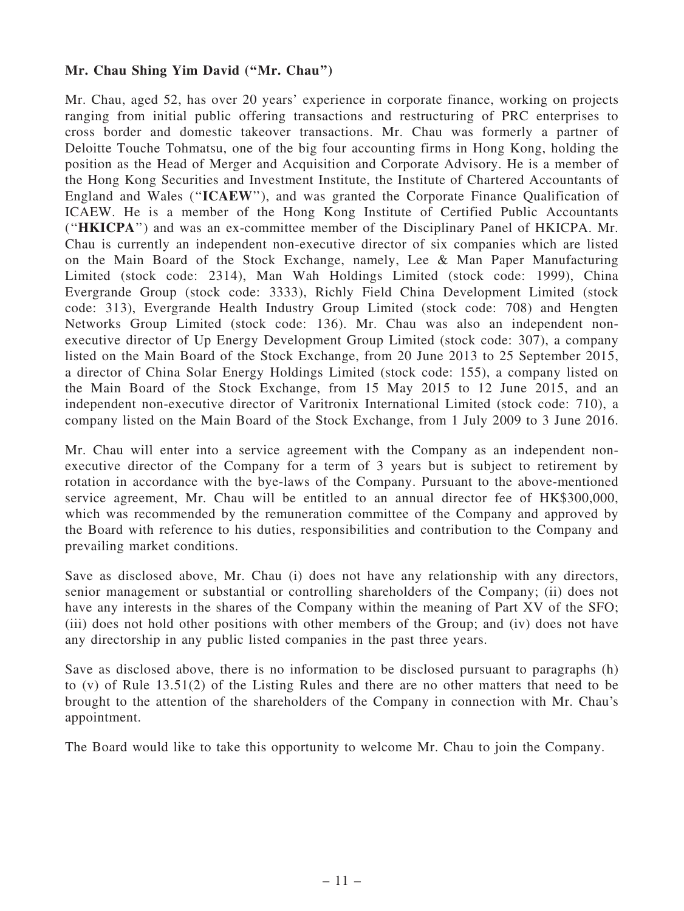### Mr. Chau Shing Yim David (''Mr. Chau'')

Mr. Chau, aged 52, has over 20 years' experience in corporate finance, working on projects ranging from initial public offering transactions and restructuring of PRC enterprises to cross border and domestic takeover transactions. Mr. Chau was formerly a partner of Deloitte Touche Tohmatsu, one of the big four accounting firms in Hong Kong, holding the position as the Head of Merger and Acquisition and Corporate Advisory. He is a member of the Hong Kong Securities and Investment Institute, the Institute of Chartered Accountants of England and Wales (''ICAEW''), and was granted the Corporate Finance Qualification of ICAEW. He is a member of the Hong Kong Institute of Certified Public Accountants (''HKICPA'') and was an ex-committee member of the Disciplinary Panel of HKICPA. Mr. Chau is currently an independent non-executive director of six companies which are listed on the Main Board of the Stock Exchange, namely, Lee & Man Paper Manufacturing Limited (stock code: 2314), Man Wah Holdings Limited (stock code: 1999), China Evergrande Group (stock code: 3333), Richly Field China Development Limited (stock code: 313), Evergrande Health Industry Group Limited (stock code: 708) and Hengten Networks Group Limited (stock code: 136). Mr. Chau was also an independent nonexecutive director of Up Energy Development Group Limited (stock code: 307), a company listed on the Main Board of the Stock Exchange, from 20 June 2013 to 25 September 2015, a director of China Solar Energy Holdings Limited (stock code: 155), a company listed on the Main Board of the Stock Exchange, from 15 May 2015 to 12 June 2015, and an independent non-executive director of Varitronix International Limited (stock code: 710), a company listed on the Main Board of the Stock Exchange, from 1 July 2009 to 3 June 2016.

Mr. Chau will enter into a service agreement with the Company as an independent nonexecutive director of the Company for a term of 3 years but is subject to retirement by rotation in accordance with the bye-laws of the Company. Pursuant to the above-mentioned service agreement, Mr. Chau will be entitled to an annual director fee of HK\$300,000, which was recommended by the remuneration committee of the Company and approved by the Board with reference to his duties, responsibilities and contribution to the Company and prevailing market conditions.

Save as disclosed above, Mr. Chau (i) does not have any relationship with any directors, senior management or substantial or controlling shareholders of the Company; (ii) does not have any interests in the shares of the Company within the meaning of Part XV of the SFO; (iii) does not hold other positions with other members of the Group; and (iv) does not have any directorship in any public listed companies in the past three years.

Save as disclosed above, there is no information to be disclosed pursuant to paragraphs (h) to (v) of Rule 13.51(2) of the Listing Rules and there are no other matters that need to be brought to the attention of the shareholders of the Company in connection with Mr. Chau's appointment.

The Board would like to take this opportunity to welcome Mr. Chau to join the Company.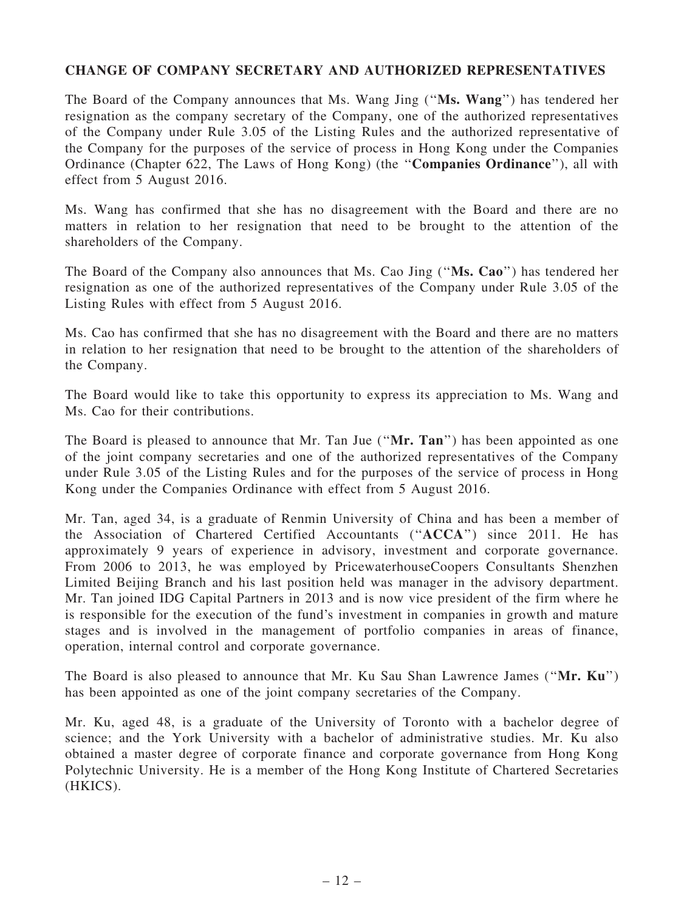### CHANGE OF COMPANY SECRETARY AND AUTHORIZED REPRESENTATIVES

The Board of the Company announces that Ms. Wang Jing (''Ms. Wang'') has tendered her resignation as the company secretary of the Company, one of the authorized representatives of the Company under Rule 3.05 of the Listing Rules and the authorized representative of the Company for the purposes of the service of process in Hong Kong under the Companies Ordinance (Chapter 622, The Laws of Hong Kong) (the ''Companies Ordinance''), all with effect from 5 August 2016.

Ms. Wang has confirmed that she has no disagreement with the Board and there are no matters in relation to her resignation that need to be brought to the attention of the shareholders of the Company.

The Board of the Company also announces that Ms. Cao Jing (''Ms. Cao'') has tendered her resignation as one of the authorized representatives of the Company under Rule 3.05 of the Listing Rules with effect from 5 August 2016.

Ms. Cao has confirmed that she has no disagreement with the Board and there are no matters in relation to her resignation that need to be brought to the attention of the shareholders of the Company.

The Board would like to take this opportunity to express its appreciation to Ms. Wang and Ms. Cao for their contributions.

The Board is pleased to announce that Mr. Tan Jue ("Mr. Tan") has been appointed as one of the joint company secretaries and one of the authorized representatives of the Company under Rule 3.05 of the Listing Rules and for the purposes of the service of process in Hong Kong under the Companies Ordinance with effect from 5 August 2016.

Mr. Tan, aged 34, is a graduate of Renmin University of China and has been a member of the Association of Chartered Certified Accountants (''ACCA'') since 2011. He has approximately 9 years of experience in advisory, investment and corporate governance. From 2006 to 2013, he was employed by PricewaterhouseCoopers Consultants Shenzhen Limited Beijing Branch and his last position held was manager in the advisory department. Mr. Tan joined IDG Capital Partners in 2013 and is now vice president of the firm where he is responsible for the execution of the fund's investment in companies in growth and mature stages and is involved in the management of portfolio companies in areas of finance, operation, internal control and corporate governance.

The Board is also pleased to announce that Mr. Ku Sau Shan Lawrence James ("Mr. Ku") has been appointed as one of the joint company secretaries of the Company.

Mr. Ku, aged 48, is a graduate of the University of Toronto with a bachelor degree of science; and the York University with a bachelor of administrative studies. Mr. Ku also obtained a master degree of corporate finance and corporate governance from Hong Kong Polytechnic University. He is a member of the Hong Kong Institute of Chartered Secretaries (HKICS).